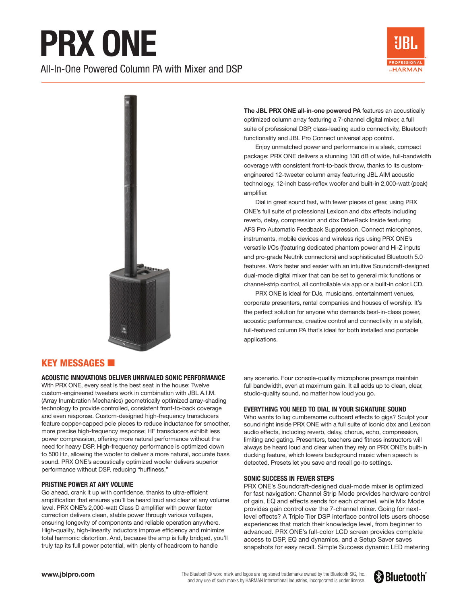# **PRX ONE**

All-In-One Powered Column PA with Mixer and DSP





**The JBL PRX ONE all-in-one powered PA** features an acoustically optimized column array featuring a 7-channel digital mixer, a full suite of professional DSP, class-leading audio connectivity, Bluetooth functionality and JBL Pro Connect universal app control.

Enjoy unmatched power and performance in a sleek, compact package: PRX ONE delivers a stunning 130 dB of wide, full-bandwidth coverage with consistent front-to-back throw, thanks to its customengineered 12-tweeter column array featuring JBL AIM acoustic technology, 12-inch bass-reflex woofer and built-in 2,000-watt (peak) amplifier.

Dial in great sound fast, with fewer pieces of gear, using PRX ONE's full suite of professional Lexicon and dbx effects including reverb, delay, compression and dbx DriveRack Inside featuring AFS Pro Automatic Feedback Suppression. Connect microphones, instruments, mobile devices and wireless rigs using PRX ONE's versatile I/Os (featuring dedicated phantom power and Hi-Z inputs and pro-grade Neutrik connectors) and sophisticated Bluetooth 5.0 features. Work faster and easier with an intuitive Soundcraft-designed dual-mode digital mixer that can be set to general mix functions or channel-strip control, all controllable via app or a built-in color LCD.

PRX ONE is ideal for DJs, musicians, entertainment venues, corporate presenters, rental companies and houses of worship. It's the perfect solution for anyone who demands best-in-class power, acoustic performance, creative control and connectivity in a stylish, full-featured column PA that's ideal for both installed and portable applications.

## **KEY MESSAGES**  $\blacksquare$

**ACOUSTIC INNOVATIONS DELIVER UNRIVALED SONIC PERFORMANCE**

With PRX ONE, every seat is the best seat in the house: Twelve custom-engineered tweeters work in combination with JBL A.I.M. (Array Inumbration Mechanics) geometrically optimized array-shading technology to provide controlled, consistent front-to-back coverage and even response. Custom-designed high-frequency transducers feature copper-capped pole pieces to reduce inductance for smoother, more precise high-frequency response; HF transducers exhibit less power compression, offering more natural performance without the need for heavy DSP. High-frequency performance is optimized down to 500 Hz, allowing the woofer to deliver a more natural, accurate bass sound. PRX ONE's acoustically optimized woofer delivers superior performance without DSP, reducing "huffiness."

#### **PRISTINE POWER AT ANY VOLUME**

Go ahead, crank it up with confidence, thanks to ultra-efficient amplification that ensures you'll be heard loud and clear at any volume level. PRX ONE's 2,000-watt Class D amplifier with power factor correction delivers clean, stable power through various voltages, ensuring longevity of components and reliable operation anywhere. High-quality, high-linearity inductors improve efficiency and minimize total harmonic distortion. And, because the amp is fully bridged, you'll truly tap its full power potential, with plenty of headroom to handle

any scenario. Four console-quality microphone preamps maintain full bandwidth, even at maximum gain. It all adds up to clean, clear, studio-quality sound, no matter how loud you go.

#### **EVERYTHING YOU NEED TO DIAL IN YOUR SIGNATURE SOUND**

Who wants to lug cumbersome outboard effects to gigs? Sculpt your sound right inside PRX ONE with a full suite of iconic dbx and Lexicon audio effects, including reverb, delay, chorus, echo, compression, limiting and gating. Presenters, teachers and fitness instructors will always be heard loud and clear when they rely on PRX ONE's built-in ducking feature, which lowers background music when speech is detected. Presets let you save and recall go-to settings.

#### **SONIC SUCCESS IN FEWER STEPS**

PRX ONE's Soundcraft-designed dual-mode mixer is optimized for fast navigation: Channel Strip Mode provides hardware control of gain, EQ and effects sends for each channel, while Mix Mode provides gain control over the 7-channel mixer. Going for nextlevel effects? A Triple Tier DSP interface control lets users choose experiences that match their knowledge level, from beginner to advanced. PRX ONE's full-color LCD screen provides complete access to DSP, EQ and dynamics, and a Setup Saver saves snapshots for easy recall. Simple Success dynamic LED metering

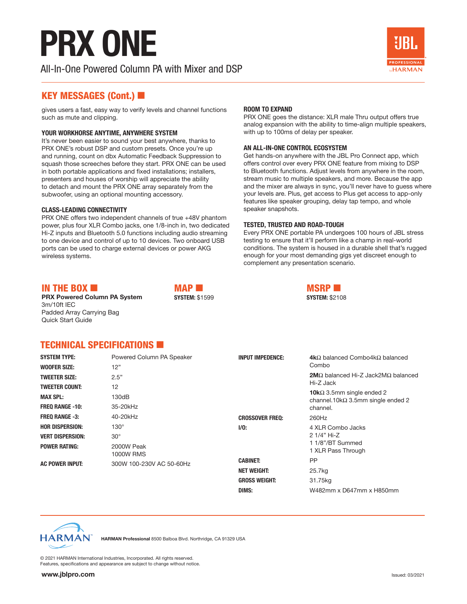## **PRX ONE**

All-In-One Powered Column PA with Mixer and DSP



### KEY MESSAGES (Cont.)

gives users a fast, easy way to verify levels and channel functions such as mute and clipping.

#### **YOUR WORKHORSE ANYTIME, ANYWHERE SYSTEM**

It's never been easier to sound your best anywhere, thanks to PRX ONE's robust DSP and custom presets. Once you're up and running, count on dbx Automatic Feedback Suppression to squash those screeches before they start. PRX ONE can be used in both portable applications and fixed installations; installers, presenters and houses of worship will appreciate the ability to detach and mount the PRX ONE array separately from the subwoofer, using an optional mounting accessory.

#### **CLASS-LEADING CONNECTIVITY**

PRX ONE offers two independent channels of true +48V phantom power, plus four XLR Combo jacks, one 1/8-inch in, two dedicated Hi-Z inputs and Bluetooth 5.0 functions including audio streaming to one device and control of up to 10 devices. Two onboard USB ports can be used to charge external devices or power AKG wireless systems.

#### **ROOM TO EXPAND**

PRX ONE goes the distance: XLR male Thru output offers true analog expansion with the ability to time-align multiple speakers, with up to 100ms of delay per speaker.

#### **AN ALL-IN-ONE CONTROL ECOSYSTEM**

Get hands-on anywhere with the JBL Pro Connect app, which offers control over every PRX ONE feature from mixing to DSP to Bluetooth functions. Adjust levels from anywhere in the room, stream music to multiple speakers, and more. Because the app and the mixer are always in sync, you'll never have to guess where your levels are. Plus, get access to Plus get access to app-only features like speaker grouping, delay tap tempo, and whole speaker snapshots.

#### **TESTED, TRUSTED AND ROAD-TOUGH**

Every PRX ONE portable PA undergoes 100 hours of JBL stress testing to ensure that it'll perform like a champ in real-world conditions. The system is housed in a durable shell that's rugged enough for your most demanding gigs yet discreet enough to complement any presentation scenario.

### IN THE BOX  $\blacksquare$

**PRX Powered Column PA System** 3m/10ft IEC Padded Array Carrying Bag Quick Start Guide

 $MAP$ **SYSTEM:** \$1599



## TECHNICAL SPECIFICATIONS

| <b>SYSTEM TYPE:</b><br><b>WOOFER SIZE:</b>        | Powered Column PA Speaker<br>12" | <b>INPUT IMPEDENCE:</b>               | <b>4k</b> $\Omega$ balanced Combo4k $\Omega$ balanced<br>Combo                        |
|---------------------------------------------------|----------------------------------|---------------------------------------|---------------------------------------------------------------------------------------|
| <b>TWEETER SIZE:</b>                              | 2.5"                             |                                       | <b>2M</b> $\Omega$ balanced Hi-Z Jack2M $\Omega$ balanced<br>Hi-Z Jack                |
| <b>TWEETER COUNT:</b><br><b>MAX SPL:</b>          | 12<br>130dB                      |                                       | <b>10k</b> $\Omega$ 3.5mm single ended 2<br>channel.10k $\Omega$ 3.5mm single ended 2 |
| <b>FREQ RANGE -10:</b><br><b>FREO RANGE -3:</b>   | 35-20kHz<br>40-20kHz             | <b>CROSSOVER FREQ:</b>                | channel.<br>260Hz                                                                     |
| <b>HOR DISPERSION:</b><br><b>VERT DISPERSION:</b> | $130^\circ$<br>$30^{\circ}$      | $1/0$ :                               | 4 XLR Combo Jacks<br>2 1/4" Hi-Z<br>11/8"/BT Summed<br>1 XLR Pass Through             |
| <b>POWER RATING:</b>                              | 2000W Peak<br><b>1000W RMS</b>   |                                       |                                                                                       |
| <b>AC POWER INPUT:</b>                            | 300W 100-230V AC 50-60Hz         | <b>CABINET:</b><br><b>NET WEIGHT:</b> | PP<br>25.7kg                                                                          |
|                                                   |                                  | <b>GROSS WEIGHT:</b><br>DIMS:         | 31.75kg<br>W482mm x D647mm x H850mm                                                   |

**HARMAN** 

**HARMAN Professional** 8500 Balboa Blvd. Northridge, CA 91329 USA

© 2021 HARMAN International Industries, Incorporated. All rights reserved. Features, specifications and appearance are subject to change without notice.